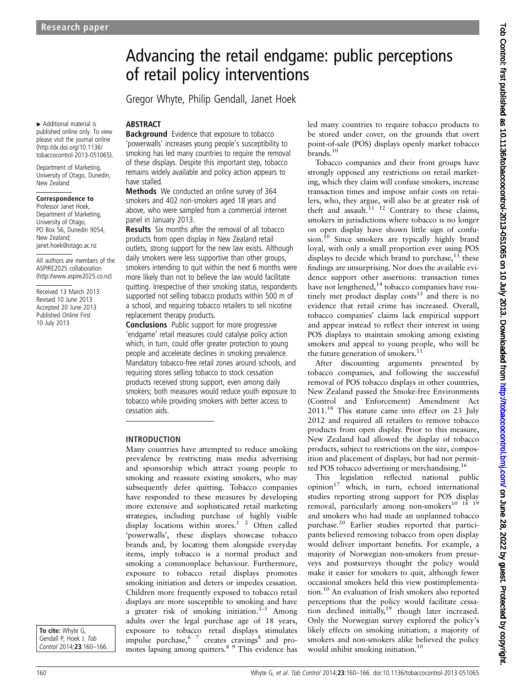▸ Additional material is published online only. To view please visit the journal online [\(http://dx.doi.org/10.1136/](http://dx.doi.org/10.1136/tobaccocontrol-2013-051065) [tobaccocontrol-2013-051065\)](http://dx.doi.org/10.1136/tobaccocontrol-2013-051065).

Department of Marketing, University of Otago, Dunedin, New Zealand

# Correspondence to

Professor Janet Hoek, Department of Marketing, University of Otago, PO Box 56, Dunedin 9054, New Zealand; <janet.hoek@otago.ac.nz>

All authors are members of the ASPIRE2025 collaboration [\(http://www.aspire2025.co.nz\)](http://www.aspire2025.co.nz)

Received 13 March 2013 Revised 10 June 2013 Accepted 20 June 2013 Published Online First 10 July 2013

# Advancing the retail endgame: public perceptions of retail policy interventions

Gregor Whyte, Philip Gendall, Janet Hoek

# **ABSTRACT**

**Background** Evidence that exposure to tobacco 'powerwalls' increases young people's susceptibility to smoking has led many countries to require the removal of these displays. Despite this important step, tobacco remains widely available and policy action appears to have stalled.

Methods We conducted an online survey of 364 smokers and 402 non-smokers aged 18 years and above, who were sampled from a commercial internet panel in January 2013.

Results Six months after the removal of all tobacco products from open display in New Zealand retail outlets, strong support for the new law exists. Although daily smokers were less supportive than other groups, smokers intending to quit within the next 6 months were more likely than not to believe the law would facilitate quitting. Irrespective of their smoking status, respondents supported not selling tobacco products within 500 m of a school, and requiring tobacco retailers to sell nicotine replacement therapy products.

Conclusions Public support for more progressive 'endgame' retail measures could catalyse policy action which, in turn, could offer greater protection to young people and accelerate declines in smoking prevalence. Mandatory tobacco-free retail zones around schools, and requiring stores selling tobacco to stock cessation products received strong support, even among daily smokers; both measures would reduce youth exposure to tobacco while providing smokers with better access to cessation aids.

# INTRODUCTION

Many countries have attempted to reduce smoking prevalence by restricting mass media advertising and sponsorship which attract young people to smoking and reassure existing smokers, who may subsequently defer quitting. Tobacco companies have responded to these measures by developing more extensive and sophisticated retail marketing strategies, including purchase of highly visible display locations within stores.<sup>1</sup> <sup>2</sup> Often called 'powerwalls', these displays showcase tobacco brands and, by locating them alongside everyday items, imply tobacco is a normal product and smoking a commonplace behaviour. Furthermore, exposure to tobacco retail displays promotes smoking initiation and deters or impedes cessation. Children more frequently exposed to tobacco retail displays are more susceptible to smoking and have a greater risk of smoking initiation.<sup>3-5</sup> Among adults over the legal purchase age of 18 years, exposure to tobacco retail displays stimulates impulse purchase,  $67$  creates cravings<sup>8</sup> and promotes lapsing among quitters.<sup>8</sup> <sup>9</sup> This evidence has

led many countries to require tobacco products to be stored under cover, on the grounds that overt point-of-sale (POS) displays openly market tobacco brands.<sup>10</sup>

Tobacco companies and their front groups have strongly opposed any restrictions on retail marketing, which they claim will confuse smokers, increase transaction times and impose unfair costs on retailers, who, they argue, will also be at greater risk of theft and assault.<sup>11 12</sup> Contrary to these claims, smokers in jurisdictions where tobacco is no longer on open display have shown little sign of confusion.<sup>10</sup> Since smokers are typically highly brand loyal, with only a small proportion ever using POS displays to decide which brand to purchase,  $13$  these findings are unsurprising. Nor does the available evidence support other assertions: transaction times have not lengthened, $14$  tobacco companies have routinely met product display  $costs<sup>15</sup>$  and there is no evidence that retail crime has increased. Overall, tobacco companies' claims lack empirical support and appear instead to reflect their interest in using POS displays to maintain smoking among existing smokers and appeal to young people, who will be the future generation of smokers.<sup>11</sup>

After discounting arguments presented by tobacco companies, and following the successful removal of POS tobacco displays in other countries, New Zealand passed the Smoke-free Environments (Control and Enforcement) Amendment Act  $2011<sup>16</sup>$  This statute came into effect on 23 July 2012 and required all retailers to remove tobacco products from open display. Prior to this measure, New Zealand had allowed the display of tobacco products, subject to restrictions on the size, composition and placement of displays, but had not permitted POS tobacco advertising or merchandising.<sup>16</sup>

This legislation reflected national public  $opinion<sup>17</sup>$  which, in turn, echoed international studies reporting strong support for POS display removal, particularly among non-smokers<sup>10 18</sup> <sup>19</sup> and smokers who had made an unplanned tobacco purchase.20 Earlier studies reported that participants believed removing tobacco from open display would deliver important benefits. For example, a majority of Norwegian non-smokers from presurveys and postsurveys thought the policy would make it easier for smokers to quit, although fewer occasional smokers held this view postimplementation.10 An evaluation of Irish smokers also reported perceptions that the policy would facilitate cessation declined initially, $19$  though later increased. Only the Norwegian survey explored the policy's likely effects on smoking initiation; a majority of smokers and non-smokers alike believed the policy would inhibit smoking initiation.<sup>10</sup>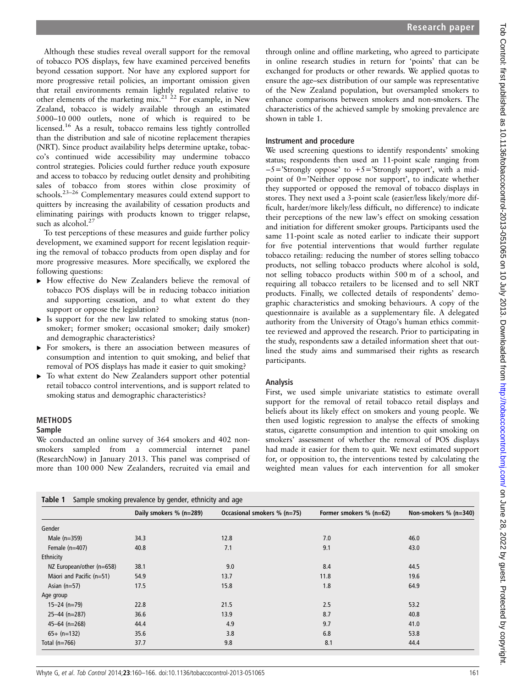Although these studies reveal overall support for the removal of tobacco POS displays, few have examined perceived benefits beyond cessation support. Nor have any explored support for more progressive retail policies, an important omission given that retail environments remain lightly regulated relative to other elements of the marketing mix.21 22 For example, in New Zealand, tobacco is widely available through an estimated 5000–10 000 outlets, none of which is required to be licensed.16 As a result, tobacco remains less tightly controlled than the distribution and sale of nicotine replacement therapies (NRT). Since product availability helps determine uptake, tobacco's continued wide accessibility may undermine tobacco control strategies. Policies could further reduce youth exposure and access to tobacco by reducing outlet density and prohibiting sales of tobacco from stores within close proximity of schools.<sup>23–26</sup> Complementary measures could extend support to quitters by increasing the availability of cessation products and eliminating pairings with products known to trigger relapse, such as alcohol.<sup>27</sup>

To test perceptions of these measures and guide further policy development, we examined support for recent legislation requiring the removal of tobacco products from open display and for more progressive measures. More specifically, we explored the following questions:

- ▸ How effective do New Zealanders believe the removal of tobacco POS displays will be in reducing tobacco initiation and supporting cessation, and to what extent do they support or oppose the legislation?
- ▶ Is support for the new law related to smoking status (nonsmoker; former smoker; occasional smoker; daily smoker) and demographic characteristics?
- ▸ For smokers, is there an association between measures of consumption and intention to quit smoking, and belief that removal of POS displays has made it easier to quit smoking?
- ▶ To what extent do New Zealanders support other potential retail tobacco control interventions, and is support related to smoking status and demographic characteristics?

# METHODS

Sample

We conducted an online survey of 364 smokers and 402 nonsmokers sampled from a commercial internet panel (ResearchNow) in January 2013. This panel was comprised of more than 100 000 New Zealanders, recruited via email and

through online and offline marketing, who agreed to participate in online research studies in return for 'points' that can be exchanged for products or other rewards. We applied quotas to ensure the age–sex distribution of our sample was representative of the New Zealand population, but oversampled smokers to enhance comparisons between smokers and non-smokers. The characteristics of the achieved sample by smoking prevalence are shown in table 1.

# Instrument and procedure

We used screening questions to identify respondents' smoking status; respondents then used an 11-point scale ranging from −5='Strongly oppose' to +5='Strongly support', with a midpoint of 0='Neither oppose nor support', to indicate whether they supported or opposed the removal of tobacco displays in stores. They next used a 3-point scale (easier/less likely/more difficult, harder/more likely/less difficult, no difference) to indicate their perceptions of the new law's effect on smoking cessation and initiation for different smoker groups. Participants used the same 11-point scale as noted earlier to indicate their support for five potential interventions that would further regulate tobacco retailing: reducing the number of stores selling tobacco products, not selling tobacco products where alcohol is sold, not selling tobacco products within 500 m of a school, and requiring all tobacco retailers to be licensed and to sell NRT products. Finally, we collected details of respondents' demographic characteristics and smoking behaviours. A copy of the questionnaire is available as a supplementary file. A delegated authority from the University of Otago's human ethics committee reviewed and approved the research. Prior to participating in the study, respondents saw a detailed information sheet that outlined the study aims and summarised their rights as research participants.

# Analysis

First, we used simple univariate statistics to estimate overall support for the removal of retail tobacco retail displays and beliefs about its likely effect on smokers and young people. We then used logistic regression to analyse the effects of smoking status, cigarette consumption and intention to quit smoking on smokers' assessment of whether the removal of POS displays had made it easier for them to quit. We next estimated support for, or opposition to, the interventions tested by calculating the weighted mean values for each intervention for all smoker

| Table 1                   | Sample smoking prevalence by gender, ethnicity and age |                             |                         |                       |
|---------------------------|--------------------------------------------------------|-----------------------------|-------------------------|-----------------------|
|                           | Daily smokers % (n=289)                                | Occasional smokers % (n=75) | Former smokers % (n=62) | Non-smokers % (n=340) |
| Gender                    |                                                        |                             |                         |                       |
| Male $(n=359)$            | 34.3                                                   | 12.8                        | 7.0                     | 46.0                  |
| Female $(n=407)$          | 40.8                                                   | 7.1                         | 9.1                     | 43.0                  |
| Ethnicity                 |                                                        |                             |                         |                       |
| NZ European/other (n=658) | 38.1                                                   | 9.0                         | 8.4                     | 44.5                  |
| Māori and Pacific (n=51)  | 54.9                                                   | 13.7                        | 11.8                    | 19.6                  |
| Asian $(n=57)$            | 17.5                                                   | 15.8                        | 1.8                     | 64.9                  |
| Age group                 |                                                        |                             |                         |                       |
| $15 - 24$ (n=79)          | 22.8                                                   | 21.5                        | 2.5                     | 53.2                  |
| $25 - 44$ (n=287)         | 36.6                                                   | 13.9                        | 8.7                     | 40.8                  |
| $45 - 64$ (n=268)         | 44.4                                                   | 4.9                         | 9.7                     | 41.0                  |
| $65+ (n=132)$             | 35.6                                                   | 3.8                         | 6.8                     | 53.8                  |
| Total $(n=766)$           | 37.7                                                   | 9.8                         | 8.1                     | 44.4                  |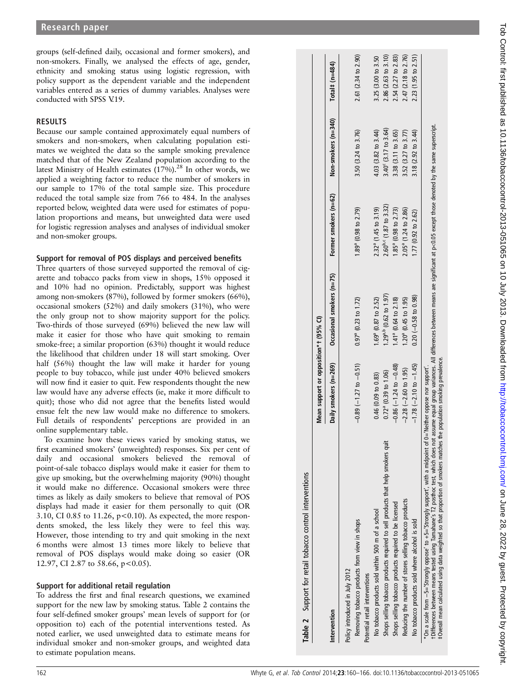groups (self-defined daily, occasional and former smokers), and non-smokers. Finally, we analysed the effects of age, gender, ethnicity and smoking status using logistic regression, with policy support as the dependent variable and the independent variables entered as a series of dummy variables. Analyses were conducted with SPSS V19.

# RESULTS

Because our sample contained approximately equal numbers of smokers and non-smokers, when calculating population estimates we weighted the data so the sample smoking prevalence matched that of the New Zealand population according to the latest Ministry of Health estimates  $(17%)$ .<sup>28</sup> In other words, we applied a weighting factor to reduce the number of smokers in our sample to 17% of the total sample size. This procedure reduced the total sample size from 766 to 484. In the analyses reported below, weighted data were used for estimates of population proportions and means, but unweighted data were used for logistic regression analyses and analyses of individual smoker and non-smoker groups.

# Support for removal of POS displays and perceived benefits

Three quarters of those surveyed supported the removal of cigarette and tobacco packs from view in shops, 15% opposed it and 10% had no opinion. Predictably, support was highest among non-smokers (87%), followed by former smokers (66%), occasional smokers (52%) and daily smokers (31%), who were the only group not to show majority support for the policy. Two-thirds of those surveyed (69%) believed the new law will make it easier for those who have quit smoking to remain smoke-free; a similar proportion (63%) thought it would reduce the likelihood that children under 18 will start smoking. Over half (56%) thought the law will make it harder for young people to buy tobacco, while just under 40% believed smokers will now find it easier to quit. Few respondents thought the new law would have any adverse effects (ie, make it more difficult to quit); those who did not agree that the benefits listed would ensue felt the new law would make no difference to smokers. Full details of respondents' perceptions are provided in an online [supplementary table.](http://tobaccocontrol.bmj.com/lookup/suppl/doi:10.1136/tobaccocontrol-2013-051065/-/DC1)

To examine how these views varied by smoking status, we first examined smokers' (unweighted) responses. Six per cent of daily and occasional smokers believed the removal of point-of-sale tobacco displays would make it easier for them to give up smoking, but the overwhelming majority (90%) thought it would make no difference. Occasional smokers were three times as likely as daily smokers to believe that removal of POS displays had made it easier for them personally to quit (OR 3.10, CI 0.85 to 11.26,  $p<0.10$ ). As expected, the more respondents smoked, the less likely they were to feel this way. However, those intending to try and quit smoking in the next 6 months were almost 13 times more likely to believe that removal of POS displays would make doing so easier (OR 12.97, CI 2.87 to 58.66, p<0.05).

# Support for additional retail regulation

To address the first and final research questions, we examined support for the new law by smoking status. Table 2 contains the four self-defined smoker groups' mean levels of support for (or opposition to) each of the potential interventions tested. As noted earlier, we used unweighted data to estimate means for individual smoker and non-smoker groups, and weighted data to estimate population means.

|                                                                                                                                                                                                                                                                                                                                                                                                                                                                      | Mean support or opposition*1 (95% CI) |                               |                                  |                      |                     |
|----------------------------------------------------------------------------------------------------------------------------------------------------------------------------------------------------------------------------------------------------------------------------------------------------------------------------------------------------------------------------------------------------------------------------------------------------------------------|---------------------------------------|-------------------------------|----------------------------------|----------------------|---------------------|
| Intervention                                                                                                                                                                                                                                                                                                                                                                                                                                                         | Daily smokers (n=269)                 | Occasional smokers (n=75)     | Former smokers (n=62)            | Non-smokers (n=340)  | Total‡ ( $n=484$ )  |
| Policy introduced in July 2012                                                                                                                                                                                                                                                                                                                                                                                                                                       |                                       |                               |                                  |                      |                     |
| Removing tobacco products from view in shops                                                                                                                                                                                                                                                                                                                                                                                                                         | $-0.89$ $(-1.27$ to $-0.51)$          | $0.97a$ (0.23 to 1.72)        | $1.89^{\circ}$ (0.98 to 2.79)    | 3.50 (3.24 to 3.76)  | 2.61 (2.34 to 2.90) |
| Potential retail interventions                                                                                                                                                                                                                                                                                                                                                                                                                                       |                                       |                               |                                  |                      |                     |
| No tobacco products sold within 500 m of a school                                                                                                                                                                                                                                                                                                                                                                                                                    | $0.46$ $(0.09 \text{ to } 0.83)$      | $1.69^{\circ}$ (0.87 to 2.52) | $2.32a$ (1.45 to 3.19)           | 4.03 (3.82 to 3.44)  | 3.25 (3.00 to 3.50  |
| Shops selling tobacco products required to sell products that help smokers quit                                                                                                                                                                                                                                                                                                                                                                                      | $0.72$ <sup>a</sup> (0.39 to 1.06)    | $1.29^{a,b}$ (0.62 to 1.97)   | $2.60^{b,c}$ (1.87 to 3.32)      | 3.40° (3.17 to 3.64) | 2.86 (2.63 to 3.10) |
| Shops selling tobacco products required to be licensed                                                                                                                                                                                                                                                                                                                                                                                                               | $-0.86$ ( $-1.24$ to $-0.48$ )        | $1.41^{\circ}$ (0.64 to 2.18) | $1.85^{\circ}$ (0.98 to 2.73)    | 3.38 (3.11 to 3.65)  | 2.54 (2.27 to 2.83) |
| Reducing the number of stores selling tobacco products                                                                                                                                                                                                                                                                                                                                                                                                               | $-2.28$ $(-2.60$ to 1.95)             | $1.20^{\circ}$ (0.45 to 1.95) | 2.05 <sup>ª</sup> (1.24 to 2.86) | 3.52 (3.27 to 3.77)  | 2.47 (2.18 to 2.76) |
| No tobacco products sold where alcohol is sold                                                                                                                                                                                                                                                                                                                                                                                                                       | $-1.78$ (-2.10 to $-1.45$ )           | $0.20 (-0.58 to 0.98)$        | $1.77(0.92 \text{ to } 2.62)$    | 3.18 (2.92 to 3.44)  | 2.23 (1.95 to 2.51) |
| rDifferences between means tested using Tamahane's T2 posthoc test, which does not assume equal group variances. All differences between means are significant at p<0.05 except those denoted by the same superscript.<br>FOverall mean calculated using data weighted so that proportion of smokers matches the population smoking prevalence.<br>*On a scale from -5='Strongly oppose' to +5='Strongly support', with a midpoint of 0='Neither oppose nor support' |                                       |                               |                                  |                      |                     |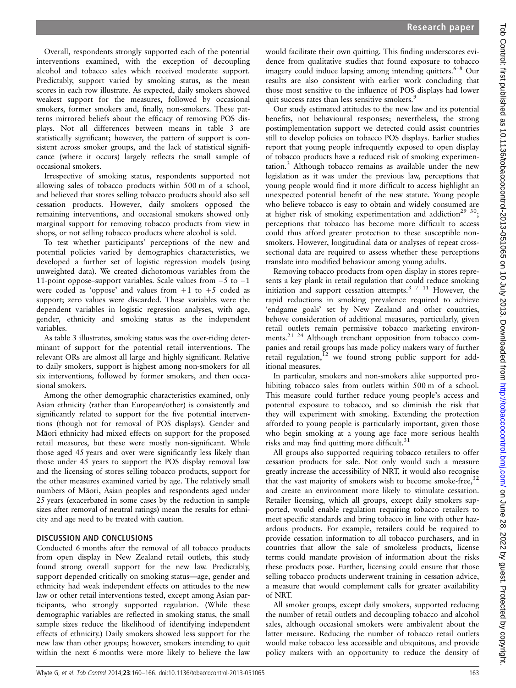Overall, respondents strongly supported each of the potential interventions examined, with the exception of decoupling alcohol and tobacco sales which received moderate support. Predictably, support varied by smoking status, as the mean scores in each row illustrate. As expected, daily smokers showed weakest support for the measures, followed by occasional smokers, former smokers and, finally, non-smokers. These patterns mirrored beliefs about the efficacy of removing POS displays. Not all differences between means in table 3 are statistically significant; however, the pattern of support is consistent across smoker groups, and the lack of statistical significance (where it occurs) largely reflects the small sample of occasional smokers.

Irrespective of smoking status, respondents supported not allowing sales of tobacco products within 500 m of a school, and believed that stores selling tobacco products should also sell cessation products. However, daily smokers opposed the remaining interventions, and occasional smokers showed only marginal support for removing tobacco products from view in shops, or not selling tobacco products where alcohol is sold.

To test whether participants' perceptions of the new and potential policies varied by demographics characteristics, we developed a further set of logistic regression models (using unweighted data). We created dichotomous variables from the 11-point oppose–support variables. Scale values from −5 to −1 were coded as 'oppose' and values from  $+1$  to  $+5$  coded as support; zero values were discarded. These variables were the dependent variables in logistic regression analyses, with age, gender, ethnicity and smoking status as the independent variables.

As table 3 illustrates, smoking status was the over-riding determinant of support for the potential retail interventions. The relevant ORs are almost all large and highly significant. Relative to daily smokers, support is highest among non-smokers for all six interventions, followed by former smokers, and then occasional smokers.

Among the other demographic characteristics examined, only Asian ethnicity (rather than European/other) is consistently and significantly related to support for the five potential interventions (though not for removal of POS displays). Gender and Maori ethnicity had mixed effects on support for the proposed retail measures, but these were mostly non-significant. While those aged 45 years and over were significantly less likely than those under 45 years to support the POS display removal law and the licensing of stores selling tobacco products, support for the other measures examined varied by age. The relatively small numbers of Maori, Asian peoples and respondents aged under 25 years (exacerbated in some cases by the reduction in sample sizes after removal of neutral ratings) mean the results for ethnicity and age need to be treated with caution.

# DISCUSSION AND CONCLUSIONS

Conducted 6 months after the removal of all tobacco products from open display in New Zealand retail outlets, this study found strong overall support for the new law. Predictably, support depended critically on smoking status—age, gender and ethnicity had weak independent effects on attitudes to the new law or other retail interventions tested, except among Asian participants, who strongly supported regulation. (While these demographic variables are reflected in smoking status, the small sample sizes reduce the likelihood of identifying independent effects of ethnicity.) Daily smokers showed less support for the new law than other groups; however, smokers intending to quit within the next 6 months were more likely to believe the law

would facilitate their own quitting. This finding underscores evidence from qualitative studies that found exposure to tobacco imagery could induce lapsing among intending quitters.  $6-8$  Our results are also consistent with earlier work concluding that those most sensitive to the influence of POS displays had lower quit success rates than less sensitive smokers.<sup>9</sup>

Our study estimated attitudes to the new law and its potential benefits, not behavioural responses; nevertheless, the strong postimplementation support we detected could assist countries still to develop policies on tobacco POS displays. Earlier studies report that young people infrequently exposed to open display of tobacco products have a reduced risk of smoking experimentation. $3$  Although tobacco remains as available under the new legislation as it was under the previous law, perceptions that young people would find it more difficult to access highlight an unexpected potential benefit of the new statute. Young people who believe tobacco is easy to obtain and widely consumed are at higher risk of smoking experimentation and addiction<sup>29</sup> 30; perceptions that tobacco has become more difficult to access could thus afford greater protection to these susceptible nonsmokers. However, longitudinal data or analyses of repeat crosssectional data are required to assess whether these perceptions translate into modified behaviour among young adults.

Removing tobacco products from open display in stores represents a key plank in retail regulation that could reduce smoking initiation and support cessation attempts.<sup>3 7 11</sup> However, the rapid reductions in smoking prevalence required to achieve 'endgame goals' set by New Zealand and other countries, behove consideration of additional measures, particularly, given retail outlets remain permissive tobacco marketing environments.<sup>21</sup> <sup>24</sup> Although trenchant opposition from tobacco companies and retail groups has made policy makers wary of further retail regulation,  $12$  we found strong public support for additional measures.

In particular, smokers and non-smokers alike supported prohibiting tobacco sales from outlets within 500 m of a school. This measure could further reduce young people's access and potential exposure to tobacco, and so diminish the risk that they will experiment with smoking. Extending the protection afforded to young people is particularly important, given those who begin smoking at a young age face more serious health risks and may find quitting more difficult.<sup>31</sup>

All groups also supported requiring tobacco retailers to offer cessation products for sale. Not only would such a measure greatly increase the accessibility of NRT, it would also recognise that the vast majority of smokers wish to become smoke-free,<sup>32</sup> and create an environment more likely to stimulate cessation. Retailer licensing, which all groups, except daily smokers supported, would enable regulation requiring tobacco retailers to meet specific standards and bring tobacco in line with other hazardous products. For example, retailers could be required to provide cessation information to all tobacco purchasers, and in countries that allow the sale of smokeless products, license terms could mandate provision of information about the risks these products pose. Further, licensing could ensure that those selling tobacco products underwent training in cessation advice, a measure that would complement calls for greater availability of NRT.

All smoker groups, except daily smokers, supported reducing the number of retail outlets and decoupling tobacco and alcohol sales, although occasional smokers were ambivalent about the latter measure. Reducing the number of tobacco retail outlets would make tobacco less accessible and ubiquitous, and provide policy makers with an opportunity to reduce the density of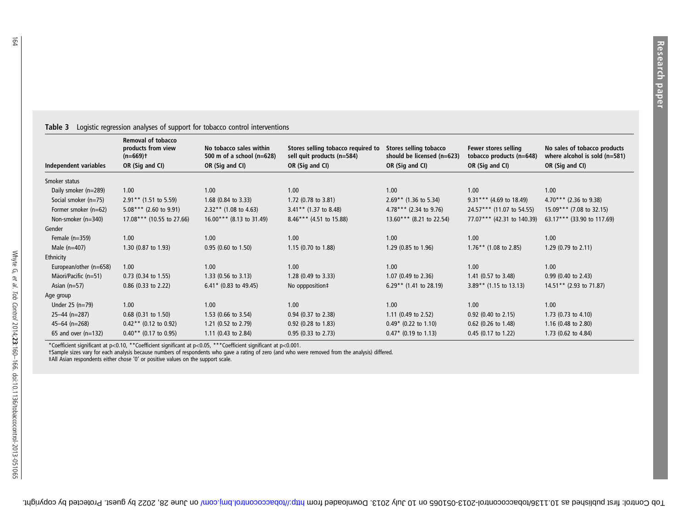## Table 3 Logistic regression analyses of support for tobacco control interventions

|                        | <b>Removal of tobacco</b><br>products from view<br>$(n=669)$ † | No tobacco sales within<br>500 m of a school $(n=628)$ | Stores selling tobacco required to<br>sell quit products (n=584) | <b>Stores selling tobacco</b><br>should be licensed (n=623) | Fewer stores selling<br>tobacco products (n=648) | No sales of tobacco products<br>where alcohol is sold $(n=581)$ |
|------------------------|----------------------------------------------------------------|--------------------------------------------------------|------------------------------------------------------------------|-------------------------------------------------------------|--------------------------------------------------|-----------------------------------------------------------------|
| Independent variables  | OR (Sig and CI)                                                | OR (Sig and CI)                                        | OR (Sig and CI)                                                  | OR (Sig and CI)                                             | OR (Sig and CI)                                  | OR (Sig and CI)                                                 |
| Smoker status          |                                                                |                                                        |                                                                  |                                                             |                                                  |                                                                 |
| Daily smoker (n=289)   | 1.00                                                           | 1.00                                                   | 1.00                                                             | 1.00                                                        | 1.00                                             | 1.00                                                            |
| Social smoker (n=75)   | $2.91**$ (1.51 to 5.59)                                        | 1.68 (0.84 to 3.33)                                    | 1.72 (0.78 to 3.81)                                              | $2.69**$ (1.36 to 5.34)                                     | $9.31***$ (4.69 to 18.49)                        | $4.70***$ (2.36 to 9.38)                                        |
| Former smoker (n=62)   | $5.08***$ (2.60 to 9.91)                                       | $2.32**$ (1.08 to 4.63)                                | $3.41**$ (1.37 to 8.48)                                          | $4.78***$ (2.34 to 9.76)                                    | 24.57*** (11.07 to 54.55)                        | $15.09***$ (7.08 to 32.15)                                      |
| Non-smoker (n=340)     | $17.08***$ (10.55 to 27.66)                                    | 16.00*** (8.13 to 31.49)                               | $8.46***$ (4.51 to 15.88)                                        | 13.60*** (8.21 to 22.54)                                    | 77.07*** (42.31 to 140.39)                       | 63.17*** (33.90 to 117.69)                                      |
| Gender                 |                                                                |                                                        |                                                                  |                                                             |                                                  |                                                                 |
| Female $(n=359)$       | 1.00                                                           | 1.00                                                   | 1.00                                                             | 1.00                                                        | 1.00                                             | 1.00                                                            |
| Male $(n=407)$         | 1.30 $(0.87 \text{ to } 1.93)$                                 | $0.95$ (0.60 to 1.50)                                  | $1.15$ (0.70 to 1.88)                                            | 1.29 $(0.85 \text{ to } 1.96)$                              | $1.76**$ (1.08 to 2.85)                          | 1.29 $(0.79$ to 2.11)                                           |
| Ethnicity              |                                                                |                                                        |                                                                  |                                                             |                                                  |                                                                 |
| European/other (n=658) | 1.00                                                           | 1.00                                                   | 1.00                                                             | 1.00                                                        | 1.00                                             | 1.00                                                            |
| Māori/Pacific (n=51)   | $0.73$ (0.34 to 1.55)                                          | $1.33$ (0.56 to 3.13)                                  | 1.28 $(0.49 \text{ to } 3.33)$                                   | $1.07$ (0.49 to 2.36)                                       | 1.41 (0.57 to 3.48)                              | $0.99$ (0.40 to 2.43)                                           |
| Asian $(n=57)$         | $0.86$ (0.33 to 2.22)                                          | $6.41*$ (0.83 to 49.45)                                | No oppposition#                                                  | $6.29**$ (1.41 to 28.19)                                    | $3.89**$ (1.15 to 13.13)                         | $14.51**$ (2.93 to 71.87)                                       |
| Age group              |                                                                |                                                        |                                                                  |                                                             |                                                  |                                                                 |
| Under $25$ (n=79)      | 1.00                                                           | 1.00                                                   | 1.00                                                             | 1.00                                                        | 1.00                                             | 1.00                                                            |
| $25 - 44$ (n=287)      | $0.68$ (0.31 to 1.50)                                          | 1.53 (0.66 to 3.54)                                    | $0.94$ (0.37 to 2.38)                                            | 1.11 (0.49 to 2.52)                                         | $0.92$ (0.40 to 2.15)                            | 1.73 $(0.73$ to 4.10)                                           |
| $45 - 64$ (n=268)      | $0.42**$ (0.12 to 0.92)                                        | 1.21 (0.52 to 2.79)                                    | $0.92$ (0.28 to 1.83)                                            | $0.49*$ (0.22 to 1.10)                                      | $0.62$ (0.26 to 1.48)                            | 1.16 $(0.48 \text{ to } 2.80)$                                  |
| 65 and over $(n=132)$  | $0.40**$ (0.17 to 0.95)                                        | 1.11 (0.43 to 2.84)                                    | $0.95$ (0.33 to 2.73)                                            | $0.47*$ (0.19 to 1.13)                                      | 0.45 (0.17 to 1.22)                              | 1.73 (0.62 to 4.84)                                             |

\*Coefficient significant at p<0.10, \*\*Coefficient significant at p<0.05, \*\*\*Coefficient significant at p<0.001.<br>†Sample sizes vary for each analysis because numbers of respondents who gave a rating of zero (and who were re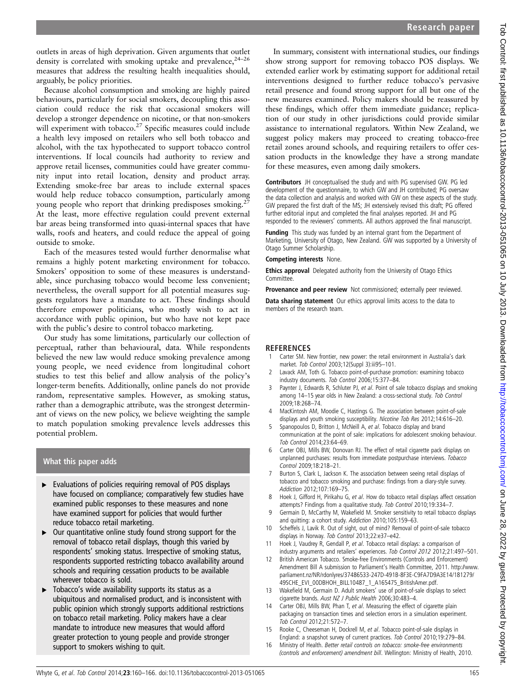outlets in areas of high deprivation. Given arguments that outlet density is correlated with smoking uptake and prevalence,  $24-26$ measures that address the resulting health inequalities should, arguably, be policy priorities.

Because alcohol consumption and smoking are highly paired behaviours, particularly for social smokers, decoupling this association could reduce the risk that occasional smokers will develop a stronger dependence on nicotine, or that non-smokers will experiment with tobacco.<sup>27</sup> Specific measures could include a health levy imposed on retailers who sell both tobacco and alcohol, with the tax hypothecated to support tobacco control interventions. If local councils had authority to review and approve retail licenses, communities could have greater community input into retail location, density and product array. Extending smoke-free bar areas to include external spaces would help reduce tobacco consumption, particularly among young people who report that drinking predisposes smoking.<sup>2</sup> At the least, more effective regulation could prevent external bar areas being transformed into quasi-internal spaces that have walls, roofs and heaters, and could reduce the appeal of going outside to smoke.

Each of the measures tested would further denormalise what remains a highly potent marketing environment for tobacco. Smokers' opposition to some of these measures is understandable, since purchasing tobacco would become less convenient; nevertheless, the overall support for all potential measures suggests regulators have a mandate to act. These findings should therefore empower politicians, who mostly wish to act in accordance with public opinion, but who have not kept pace with the public's desire to control tobacco marketing.

Our study has some limitations, particularly our collection of perceptual, rather than behavioural, data. While respondents believed the new law would reduce smoking prevalence among young people, we need evidence from longitudinal cohort studies to test this belief and allow analysis of the policy's longer-term benefits. Additionally, online panels do not provide random, representative samples. However, as smoking status, rather than a demographic attribute, was the strongest determinant of views on the new policy, we believe weighting the sample to match population smoking prevalence levels addresses this potential problem.

# What this paper adds

- ▸ Evaluations of policies requiring removal of POS displays have focused on compliance; comparatively few studies have examined public responses to these measures and none have examined support for policies that would further reduce tobacco retail marketing.
- ▸ Our quantitative online study found strong support for the removal of tobacco retail displays, though this varied by respondents' smoking status. Irrespective of smoking status, respondents supported restricting tobacco availability around schools and requiring cessation products to be available wherever tobacco is sold.
- ▶ Tobacco's wide availability supports its status as a ubiquitous and normalised product, and is inconsistent with public opinion which strongly supports additional restrictions on tobacco retail marketing. Policy makers have a clear mandate to introduce new measures that would afford greater protection to young people and provide stronger support to smokers wishing to quit.

In summary, consistent with international studies, our findings show strong support for removing tobacco POS displays. We extended earlier work by estimating support for additional retail interventions designed to further reduce tobacco's pervasive retail presence and found strong support for all but one of the new measures examined. Policy makers should be reassured by these findings, which offer them immediate guidance; replication of our study in other jurisdictions could provide similar assistance to international regulators. Within New Zealand, we suggest policy makers may proceed to creating tobacco-free retail zones around schools, and requiring retailers to offer cessation products in the knowledge they have a strong mandate for these measures, even among daily smokers.

Contributors JH conceptualised the study and with PG supervised GW. PG led development of the questionnaire, to which GW and JH contributed; PG oversaw the data collection and analysis and worked with GW on these aspects of the study. GW prepared the first draft of the MS; JH extensively revised this draft; PG offered further editorial input and completed the final analyses reported. JH and PG responded to the reviewers' comments. All authors approved the final manuscript.

**Funding** This study was funded by an internal grant from the Department of Marketing, University of Otago, New Zealand. GW was supported by a University of Otago Summer Scholarship.

Competing interests None.

**Ethics approval** Delegated authority from the University of Otago Ethics Committee.

Provenance and peer review Not commissioned; externally peer reviewed.

Data sharing statement Our ethics approval limits access to the data to members of the research team.

# **REFERENCES**

- 1 Carter SM. New frontier, new power: the retail environment in Australia's dark market. Tob Control 2003;12(Suppl 3):iii95–101.
- Lavack AM, Toth G. Tobacco point-of-purchase promotion: examining tobacco industry documents. Tob Control 2006;15:377–84.
- Paynter J, Edwards R, Schluter PJ, et al. Point of sale tobacco displays and smoking among 14–15 year olds in New Zealand: a cross-sectional study. Tob Control 2009;18:268–74.
- 4 MacKintosh AM, Moodie C, Hastings G. The association between point-of-sale displays and youth smoking susceptibility. Nicotine Tob Res 2012;14:616–20.
- 5 Spanopoulos D, Britton J, McNeill A, et al. Tobacco display and brand communication at the point of sale: implications for adolescent smoking behaviour. Tob Control 2014;23:64–69.
- 6 Carter OBJ, Mills BW, Donovan RJ. The effect of retail cigarette pack displays on unplanned purchases: results from immediate postpurchase interviews. Tobacco Control 2009;18:218–21.
- 7 Burton S, Clark L, Jackson K. The association between seeing retail displays of tobacco and tobacco smoking and purchase: findings from a diary-style survey. Addiction 2012;107:169–75.
- 8 Hoek J, Gifford H, Pirikahu G, et al. How do tobacco retail displays affect cessation attempts? Findings from a qualitative study. Tob Control 2010;19:334–7.
- 9 Germain D, McCarthy M, Wakefield M. Smoker sensitivity to retail tobacco displays and quitting: a cohort study. Addiction 2010;105:159–63.
- 10 Scheffels J, Lavik R. Out of sight, out of mind? Removal of point-of-sale tobacco displays in Norway. Tob Control 2013;22:e37–e42.
- 11 Hoek J, Vaudrey R, Gendall P, et al. Tobacco retail displays: a comparison of industry arguments and retailers' experiences. Tob Control 2012 2012;21:497–501.
- 12 British American Tobacco. Smoke-free Environments (Controls and Enforcement) Amendment Bill A submission to Parliament's Health Committee, 2011. [http://www.](http://www.parliament.nz/NR/rdonlyres/37486533-247D-491B-8F3E-C9FA7D9A3E14/181279/49SCHE_EVI_00DBHOH_BILL10487_1_A165475_BritishAmer.pdf) [parliament.nz/NR/rdonlyres/37486533-247D-491B-8F3E-C9FA7D9A3E14/181279/](http://www.parliament.nz/NR/rdonlyres/37486533-247D-491B-8F3E-C9FA7D9A3E14/181279/49SCHE_EVI_00DBHOH_BILL10487_1_A165475_BritishAmer.pdf) [49SCHE\\_EVI\\_00DBHOH\\_BILL10487\\_1\\_A165475\\_BritishAmer.pdf.](http://www.parliament.nz/NR/rdonlyres/37486533-247D-491B-8F3E-C9FA7D9A3E14/181279/49SCHE_EVI_00DBHOH_BILL10487_1_A165475_BritishAmer.pdf)
- 13 Wakefield M, Germain D. Adult smokers' use of point-of-sale displays to select cigarette brands. Aust NZ J Public Health 2006;30:483–4.
- 14 Carter OBJ, Mills BW, Phan T, et al. Measuring the effect of cigarette plain packaging on transaction times and selection errors in a simulation experiment. Tob Control 2012;21:572–7.
- 15 Rooke C, Cheeseman H, Dockrell M, et al. Tobacco point-of-sale displays in England: a snapshot survey of current practices. Tob Control 2010;19:279–84.
- 16 Ministry of Health. Better retail controls on tobacco: smoke-free environments (controls and enforcement) amendment bill. Wellington: Ministry of Health, 2010.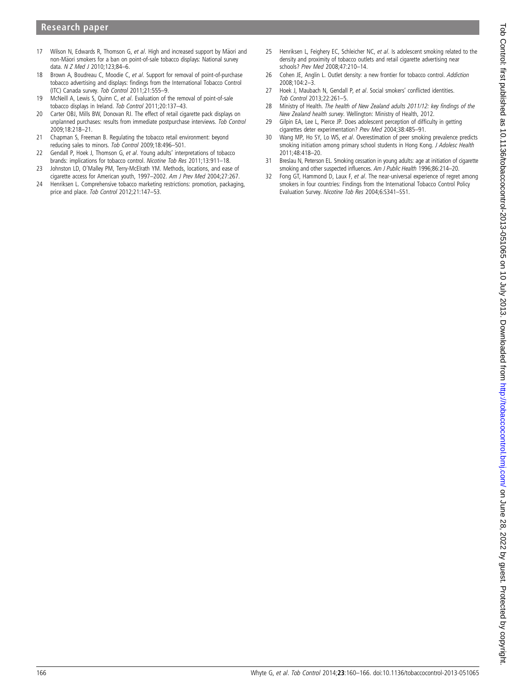- 17 Wilson N, Edwards R, Thomson G, et al. High and increased support by Maori and non-Maori smokers for a ban on point-of-sale tobacco displays: National survey data. N Z Med J 2010;123;84-6.
- 18 Brown A, Boudreau C, Moodie C, et al. Support for removal of point-of-purchase tobacco advertising and displays: findings from the International Tobacco Control (ITC) Canada survey. Tob Control 2011;21:555–9.
- 19 McNeill A, Lewis S, Quinn C, et al. Evaluation of the removal of point-of-sale tobacco displays in Ireland. Tob Control 2011;20:137–43.
- 20 Carter OBJ, Mills BW, Donovan RJ. The effect of retail cigarette pack displays on unplanned purchases: results from immediate postpurchase interviews. Tob Control 2009;18:218–21.
- 21 Chapman S, Freeman B. Regulating the tobacco retail environment: beyond reducing sales to minors. Tob Control 2009;18:496–501.
- 22 Gendall P, Hoek J, Thomson G, et al. Young adults' interpretations of tobacco brands: implications for tobacco control. Nicotine Tob Res 2011;13:911–18.
- 23 Johnston LD, O'Malley PM, Terry-McElrath YM. Methods, locations, and ease of cigarette access for American youth, 1997–2002. Am J Prev Med 2004;27:267.
- 24 Henriksen L. Comprehensive tobacco marketing restrictions: promotion, packaging, price and place. Tob Control 2012;21:147-53.
- 25 Henriksen L, Feighery EC, Schleicher NC, et al. Is adolescent smoking related to the density and proximity of tobacco outlets and retail cigarette advertising near schools? Prev Med 2008;47:210–14.
- 26 Cohen JE, Anglin L. Outlet density: a new frontier for tobacco control. Addiction 2008;104:2–3.
- 27 Hoek J, Maubach N, Gendall P, et al. Social smokers' conflicted identities. Tob Control 2013;22:261–5.
- 28 Ministry of Health. The health of New Zealand adults 2011/12: key findings of the New Zealand health survey. Wellington: Ministry of Health, 2012.
- 29 Gilpin EA, Lee L, Pierce JP. Does adolescent perception of difficulty in getting cigarettes deter experimentation? Prev Med 2004;38:485–91.
- 30 Wang MP, Ho SY, Lo WS, et al. Overestimation of peer smoking prevalence predicts smoking initiation among primary school students in Hong Kong. J Adolesc Health 2011;48:418–20.
- 31 Breslau N, Peterson EL. Smoking cessation in young adults: age at initiation of cigarette smoking and other suspected influences. Am J Public Health 1996;86:214–20.
- 32 Fong GT, Hammond D, Laux F, et al. The near-universal experience of regret among smokers in four countries: Findings from the International Tobacco Control Policy Evaluation Survey. Nicotine Tob Res 2004;6:S341–S51.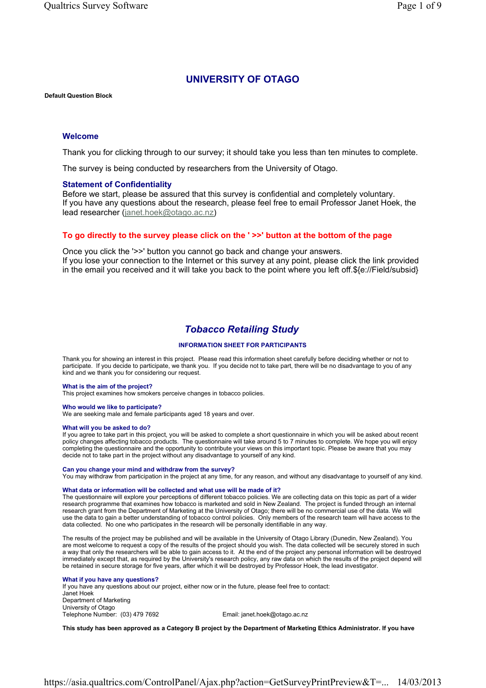# UNIVERSITY OF OTAGO

Default Question Block

# Welcome

Thank you for clicking through to our survey; it should take you less than ten minutes to complete.

The survey is being conducted by researchers from the University of Otago.

#### Statement of Confidentiality

Before we start, please be assured that this survey is confidential and completely voluntary. If you have any questions about the research, please feel free to email Professor Janet Hoek, the lead researcher (janet.hoek@otago.ac.nz)

#### To go directly to the survey please click on the ' >>' button at the bottom of the page

Once you click the '>>' button you cannot go back and change your answers. If you lose your connection to the Internet or this survey at any point, please click the link provided in the email you received and it will take you back to the point where you left off.\${e://Field/subsid}

# Tobacco Retailing Study

#### INFORMATION SHEET FOR PARTICIPANTS

Thank you for showing an interest in this project. Please read this information sheet carefully before deciding whether or not to participate. If you decide to participate, we thank you. If you decide not to take part, there will be no disadvantage to you of any kind and we thank you for considering our request.

#### What is the aim of the project?

This project examines how smokers perceive changes in tobacco policies.

#### Who would we like to participate?

We are seeking male and female participants aged 18 years and over.

#### What will you be asked to do?

If you agree to take part in this project, you will be asked to complete a short questionnaire in which you will be asked about recent policy changes affecting tobacco products. The questionnaire will take around 5 to 7 minutes to complete. We hope you will enjoy completing the questionnaire and the opportunity to contribute your views on this important topic. Please be aware that you may decide not to take part in the project without any disadvantage to yourself of any kind.

#### Can you change your mind and withdraw from the survey?

You may withdraw from participation in the project at any time, for any reason, and without any disadvantage to yourself of any kind.

#### What data or information will be collected and what use will be made of it?

The questionnaire will explore your perceptions of different tobacco policies. We are collecting data on this topic as part of a wider research programme that examines how tobacco is marketed and sold in New Zealand. The project is funded through an internal research grant from the Department of Marketing at the University of Otago; there will be no commercial use of the data. We will use the data to gain a better understanding of tobacco control policies. Only members of the research team will have access to the data collected. No one who participates in the research will be personally identifiable in any way.

The results of the project may be published and will be available in the University of Otago Library (Dunedin, New Zealand). You are most welcome to request a copy of the results of the project should you wish. The data collected will be securely stored in such a way that only the researchers will be able to gain access to it. At the end of the project any personal information will be destroyed immediately except that, as required by the University's research policy, any raw data on which the results of the project depend will be retained in secure storage for five years, after which it will be destroyed by Professor Hoek, the lead investigator.

#### What if you have any questions?

If you have any questions about our project, either now or in the future, please feel free to contact: Janet Hoek Department of Marketing University of Otago Telephone Number: (03) 479 7692 Email: janet.hoek@otago.ac.nz

This study has been approved as a Category B project by the Department of Marketing Ethics Administrator. If you have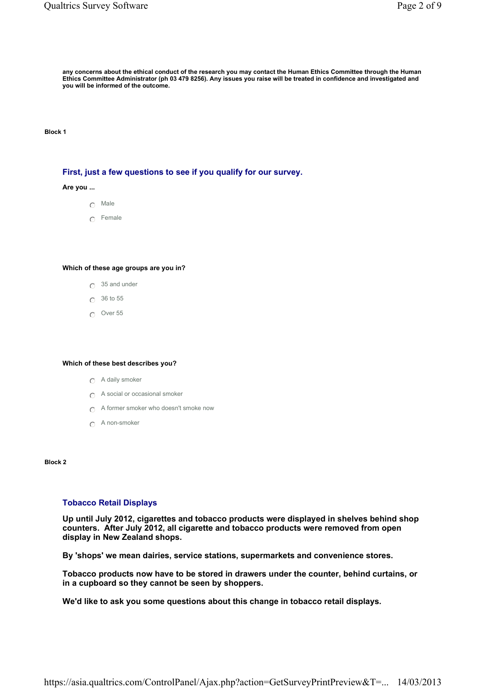any concerns about the ethical conduct of the research you may contact the Human Ethics Committee through the Human Ethics Committee Administrator (ph 03 479 8256). Any issues you raise will be treated in confidence and investigated and you will be informed of the outcome.

#### Block 1

# First, just a few questions to see if you qualify for our survey.

## Are you ...

- $\bigcap$  Male
- $n \in \mathbb{F}$ Female

#### Which of these age groups are you in?

- $\bigcirc$  35 and under
- $\degree$  36 to 55
- $\degree$  Over 55

## Which of these best describes you?

- $\bigcirc$  A daily smoker
- $\bigcirc$  A social or occasional smoker
- $\odot$  A former smoker who doesn't smoke now
- $O$  A non-smoker

#### Block 2

# Tobacco Retail Displays

Up until July 2012, cigarettes and tobacco products were displayed in shelves behind shop counters. After July 2012, all cigarette and tobacco products were removed from open display in New Zealand shops.

By 'shops' we mean dairies, service stations, supermarkets and convenience stores.

Tobacco products now have to be stored in drawers under the counter, behind curtains, or in a cupboard so they cannot be seen by shoppers.

We'd like to ask you some questions about this change in tobacco retail displays.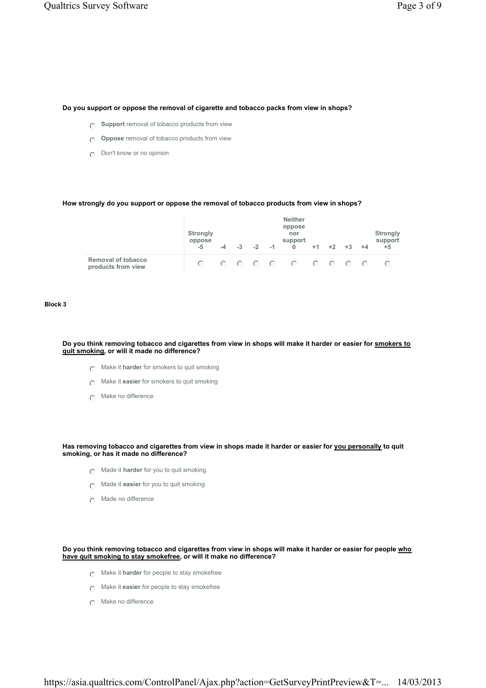#### Do you support or oppose the removal of cigarette and tobacco packs from view in shops?

- $\odot$  Support removal of tobacco products from view
- $\odot$  Oppose removal of tobacco products from view
- $\odot$  Don't know or no opinion

#### How strongly do you support or oppose the removal of tobacco products from view in shops?

|                                          | <b>Strongly</b><br>oppose<br>$-5$ |  | $-3$ $-2$ $-1$ | <b>Neither</b><br>oppose<br>nor<br>support<br>$\overline{\mathbf{0}}$                                                         |  | $+1$ $+2$ $+3$ $+4$ | <b>Strongly</b><br>support<br>$+5$ |
|------------------------------------------|-----------------------------------|--|----------------|-------------------------------------------------------------------------------------------------------------------------------|--|---------------------|------------------------------------|
| Removal of tobacco<br>products from view | $\cap$                            |  |                | $\begin{array}{cccccccccccccccccc} \circ & \circ & \circ & \circ & \circ & \circ & \circ & \circ & \circ & \circ \end{array}$ |  |                     |                                    |

#### Block 3

## Do you think removing tobacco and cigarettes from view in shops will make it harder or easier for smokers to quit smoking, or will it made no difference?

- $\odot$  Make it harder for smokers to quit smoking
- $\bigcap$  Make it easier for smokers to quit smoking
- $\cap$  Make no difference

Has removing tobacco and cigarettes from view in shops made it harder or easier for you personally to quit smoking, or has it made no difference?

- $\odot$  Made it **harder** for you to quit smoking
- $\odot$  Made it easier for you to quit smoking
- $\Omega$  Made no difference

Do you think removing tobacco and cigarettes from view in shops will make it harder or easier for people who have quit smoking to stay smokefree, or will it make no difference?

- $\odot$  Make it harder for people to stay smokefree
- $\odot$  Make it easier for people to stay smokefree
- $\bigcap$  Make no difference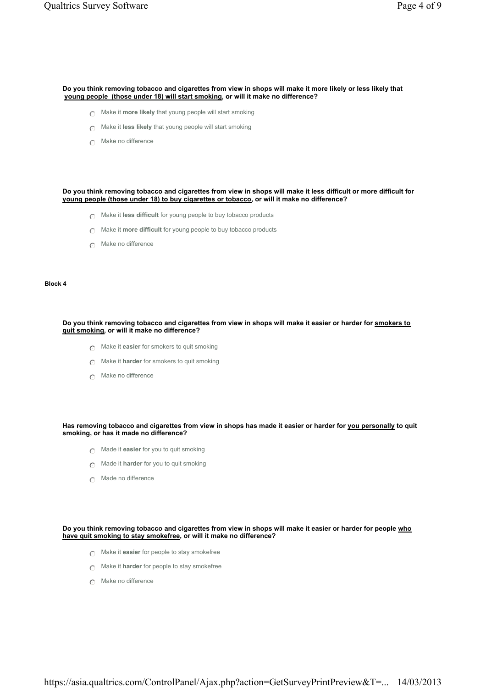Do you think removing tobacco and cigarettes from view in shops will make it more likely or less likely that young people (those under 18) will start smoking, or will it make no difference?

- $\odot$  Make it more likely that young people will start smoking
- $\odot$  Make it less likely that young people will start smoking
- $\cap$  Make no difference

Do you think removing tobacco and cigarettes from view in shops will make it less difficult or more difficult for young people (those under 18) to buy cigarettes or tobacco, or will it make no difference?

- $\circ$  Make it less difficult for young people to buy tobacco products
- $\Omega$  Make it **more difficult** for young people to buy tobacco products
- $\odot$  Make no difference

Block 4

Do you think removing tobacco and cigarettes from view in shops will make it easier or harder for smokers to quit smoking, or will it make no difference?

- $\odot$  Make it easier for smokers to quit smoking
- $\odot$  Make it **harder** for smokers to quit smoking
- $\bigcap$  Make no difference

Has removing tobacco and cigarettes from view in shops has made it easier or harder for you personally to quit smoking, or has it made no difference?

- $\cap$  Made it easier for you to quit smoking
- $\odot$  Made it harder for you to quit smoking
- $\odot$  Made no difference

Do you think removing tobacco and cigarettes from view in shops will make it easier or harder for people who have quit smoking to stay smokefree, or will it make no difference?

- $\bigcirc$  Make it easier for people to stay smokefree
- $\odot$  Make it harder for people to stay smokefree
- $\odot$  Make no difference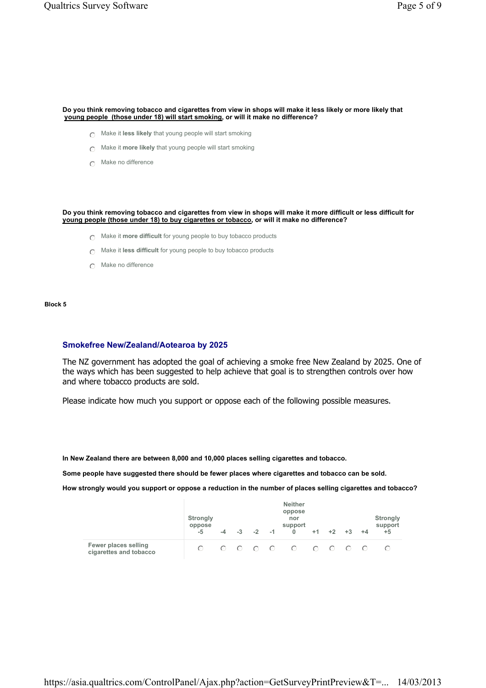#### Do you think removing tobacco and cigarettes from view in shops will make it less likely or more likely that young people (those under 18) will start smoking, or will it make no difference?

- $\Omega$  Make it less likely that young people will start smoking
- $\cap$  Make it more likely that young people will start smoking
- $\cap$  Make no difference

Do you think removing tobacco and cigarettes from view in shops will make it more difficult or less difficult for young people (those under 18) to buy cigarettes or tobacco, or will it make no difference?

- $\circ$  Make it more difficult for young people to buy tobacco products
- $\cap$  Make it less difficult for young people to buy tobacco products
- $\odot$  Make no difference

Block 5

# Smokefree New/Zealand/Aotearoa by 2025

The NZ government has adopted the goal of achieving a smoke free New Zealand by 2025. One of the ways which has been suggested to help achieve that goal is to strengthen controls over how and where tobacco products are sold.

Please indicate how much you support or oppose each of the following possible measures.

In New Zealand there are between 8,000 and 10,000 places selling cigarettes and tobacco.

Some people have suggested there should be fewer places where cigarettes and tobacco can be sold.

How strongly would you support or oppose a reduction in the number of places selling cigarettes and tobacco?

|                                                | <b>Strongly</b><br>oppose<br>$-5$ | -4 | $-3$ $-2$ $-1$ |  | <b>Neither</b><br>oppose<br>nor<br>support<br>$\mathbf{0}$ | $+1$ | $+2$ | $+3 -$ | $+4$ | <b>Strongly</b><br>support<br>$+5$ |
|------------------------------------------------|-----------------------------------|----|----------------|--|------------------------------------------------------------|------|------|--------|------|------------------------------------|
| Fewer places selling<br>cigarettes and tobacco | ∩                                 |    |                |  |                                                            |      |      |        |      |                                    |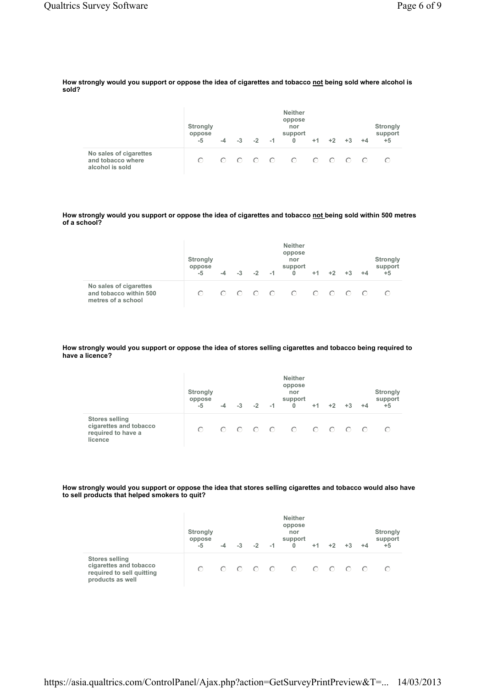## How strongly would you support or oppose the idea of cigarettes and tobacco not being sold where alcohol is sold?

|                                                                | <b>Strongly</b><br>oppose<br>$-5$ | $-4$ | $-3 -2$ | $-1$ | <b>Neither</b><br>oppose<br>nor<br>support<br>$\mathbf{0}$                                                               | $+1$ | $+2$ | $+3$ | $+4$ | <b>Strongly</b><br>support<br>$+5$ |
|----------------------------------------------------------------|-----------------------------------|------|---------|------|--------------------------------------------------------------------------------------------------------------------------|------|------|------|------|------------------------------------|
| No sales of cigarettes<br>and tobacco where<br>alcohol is sold | ∩                                 |      |         |      | $\begin{array}{ccccccccccccccccccccc} \circ & \circ & \circ & \circ & \circ & \circ & \circ & \circ & \circ \end{array}$ |      |      |      |      | - 0                                |

How strongly would you support or oppose the idea of cigarettes and tobacco not being sold within 500 metres of a school?

|                                                                        | <b>Strongly</b><br>oppose<br>-5 |  | $-4$ $-3$ $-2$ $-1$ | <b>Neither</b><br>oppose<br>nor<br>support<br>$\mathbf{0}$ | $+1$ | $+2$ | $+3$ | $+4$ | <b>Strongly</b><br>support<br>$+5$ |
|------------------------------------------------------------------------|---------------------------------|--|---------------------|------------------------------------------------------------|------|------|------|------|------------------------------------|
| No sales of cigarettes<br>and tobacco within 500<br>metres of a school | $\bigcap$                       |  |                     |                                                            |      |      |      |      |                                    |

How strongly would you support or oppose the idea of stores selling cigarettes and tobacco being required to have a licence?

|                                                                                  | <b>Strongly</b><br>oppose<br>-5 | -4      | $-3 - 2$                                                               | $-1$ | <b>Neither</b><br>oppose<br>nor<br>support<br>$\mathbf{0}$                       | $+1$ | $+2$ | $+3$       | $+4$    | Strongly<br>support<br>$+5$ |
|----------------------------------------------------------------------------------|---------------------------------|---------|------------------------------------------------------------------------|------|----------------------------------------------------------------------------------|------|------|------------|---------|-----------------------------|
| <b>Stores selling</b><br>cigarettes and tobacco<br>required to have a<br>licence | ⊙                               | $\circ$ | $\begin{array}{ccccccccc}\n\circ & \circ & \circ & \circ\n\end{array}$ |      | $\begin{array}{ccccccccccccc} \circ & \circ & \circ & \circ & \circ \end{array}$ |      |      | $\bigcirc$ | $\circ$ | ∩                           |

#### How strongly would you support or oppose the idea that stores selling cigarettes and tobacco would also have to sell products that helped smokers to quit?

|                                                                                                  | <b>Strongly</b><br>oppose<br>$-5$ | -4 | $-3 -2$ | $-1$ | <b>Neither</b><br>oppose<br>nor<br>support<br>0                                              | $+1$ | $+2$                                                                                         | $+3$ | $+4$ | Strongly<br>support<br>$+5$ |
|--------------------------------------------------------------------------------------------------|-----------------------------------|----|---------|------|----------------------------------------------------------------------------------------------|------|----------------------------------------------------------------------------------------------|------|------|-----------------------------|
| <b>Stores selling</b><br>cigarettes and tobacco<br>required to sell quitting<br>products as well | $\bigcap$                         | ⊙  |         |      | $\begin{array}{ccccccccccccccccc} \circ & \circ & \circ & \circ & \circ & \circ \end{array}$ |      | $\begin{array}{ccccccccccccccccc} \circ & \circ & \circ & \circ & \circ & \circ \end{array}$ |      |      | ∩                           |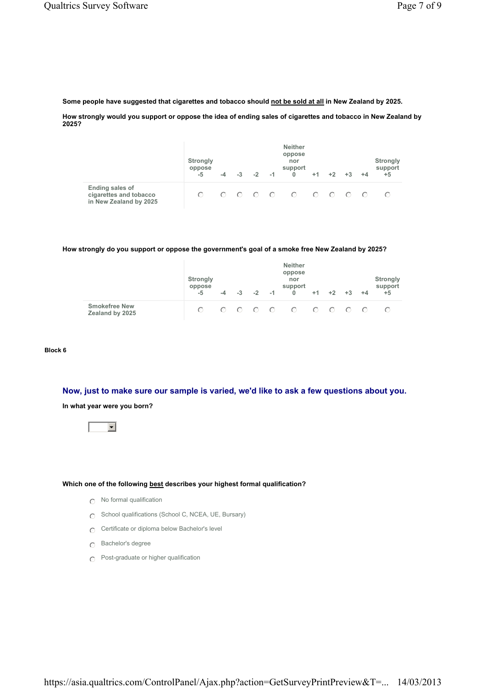Some people have suggested that cigarettes and tobacco should not be sold at all in New Zealand by 2025.

How strongly would you support or oppose the idea of ending sales of cigarettes and tobacco in New Zealand by 2025?

|                                                                     | Strongly<br>oppose<br>$-5$ | $-4$    | $-3$ $-2$ $-1$ |  | <b>Neither</b><br>oppose<br>nor<br>support<br>$\mathbf{0}$ | $+1$ | $+2$ | $+3$ | $+4$ | <b>Strongly</b><br>support<br>$+5$ |
|---------------------------------------------------------------------|----------------------------|---------|----------------|--|------------------------------------------------------------|------|------|------|------|------------------------------------|
| Ending sales of<br>cigarettes and tobacco<br>in New Zealand by 2025 | ∩                          | $\circ$ |                |  |                                                            |      |      |      |      |                                    |

## How strongly do you support or oppose the government's goal of a smoke free New Zealand by 2025?

|                                         | <b>Strongly</b><br>oppose<br>-5 | $-4$ | $-3$ $-2$ $-1$ | <b>Neither</b><br>oppose<br>nor<br>support<br>$\mathbf{0}$ | $+1$ $+2$ $+3$ | $+4$ | Strongly<br>support<br>$+5$ |
|-----------------------------------------|---------------------------------|------|----------------|------------------------------------------------------------|----------------|------|-----------------------------|
| <b>Smokefree New</b><br>Zealand by 2025 | $\cap$                          |      |                |                                                            |                |      |                             |

#### Block 6

Now, just to make sure our sample is varied, we'd like to ask a few questions about you.

# In what year were you born?



# Which one of the following best describes your highest formal qualification?

- $\odot$  No formal qualification
- $\odot$  School qualifications (School C, NCEA, UE, Bursary)
- $\odot$  Certificate or diploma below Bachelor's level
- $\cap$  Bachelor's degree
- $\odot$  Post-graduate or higher qualification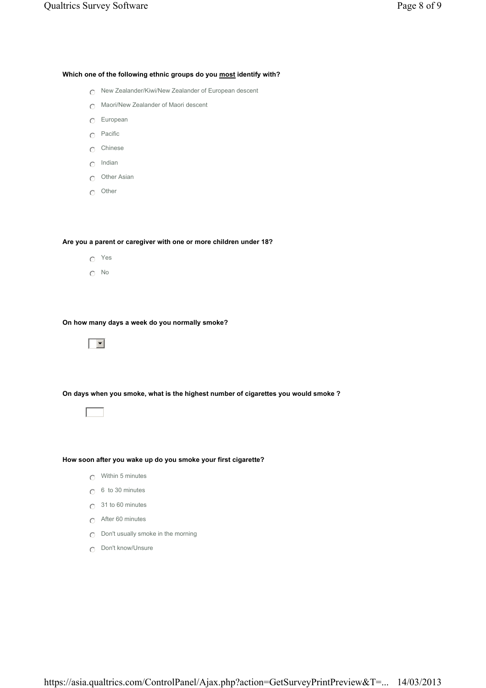# Which one of the following ethnic groups do you most identify with?

- $\textcircled{c}$  New Zealander/Kiwi/New Zealander of European descent
- $\odot$  Maori/New Zealander of Maori descent
- $\bigcap$  European
- $\odot$  Pacific
- $\bigcirc$  Chinese
- $\odot$  Indian
- $\odot$  Other Asian
- $\bigcirc$  Other

Are you a parent or caregiver with one or more children under 18?

- $C$  Yes
- $\Omega$  No

On how many days a week do you normally smoke?



On days when you smoke, what is the highest number of cigarettes you would smoke ?



# How soon after you wake up do you smoke your first cigarette?

- $\odot$  Within 5 minutes
- $\bigcap$  6 to 30 minutes
- $\degree$  31 to 60 minutes
- $C$  After 60 minutes
- $\bigcap$  Don't usually smoke in the morning
- $\odot$  Don't know/Unsure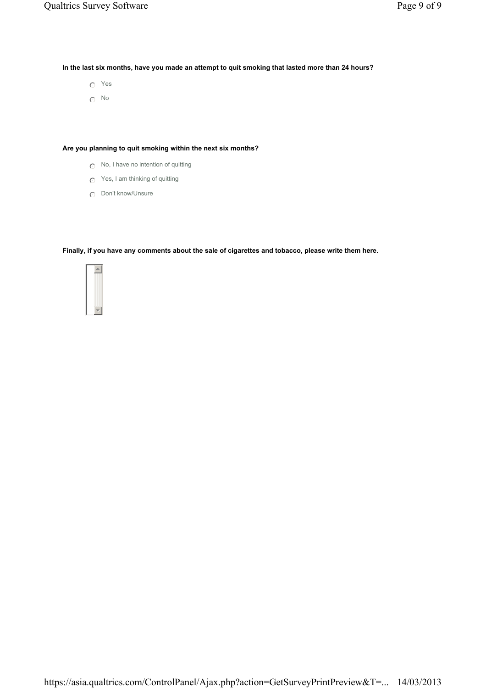In the last six months, have you made an attempt to quit smoking that lasted more than 24 hours?

- $^{\circ}$  Yes
- $\degree$  No

# Are you planning to quit smoking within the next six months?

- $\bigcirc$  No, I have no intention of quitting
- $\bigcirc$  Yes, I am thinking of quitting
- $\odot$  Don't know/Unsure

Finally, if you have any comments about the sale of cigarettes and tobacco, please write them here.